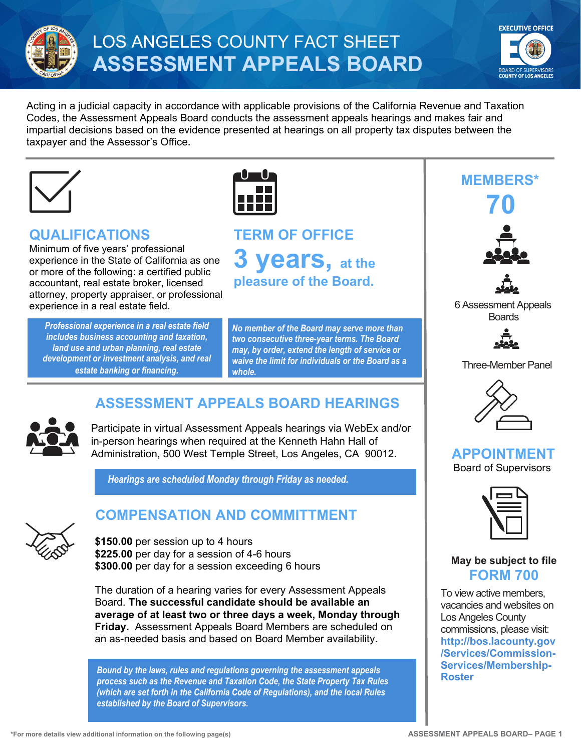

# LOS ANGELES COUNTY FACT SHEET **ASSESSMENT APPEALS BOARD**



Acting in a judicial capacity in accordance with applicable provisions of the California Revenue and Taxation Codes, the Assessment Appeals Board conducts the assessment appeals hearings and makes fair and impartial decisions based on the evidence presented at hearings on all property tax disputes between the taxpayer and the Assessor's Office**.**





#### **QUALIFICATIONS**

Minimum of five years' professional experience in the State of California as one or more of the following: a certified public accountant, real estate broker, licensed attorney, property appraiser, or professional experience in a real estate field.

*Professional experience in a real estate field includes business accounting and taxation, land use and urban planning, real estate development or investment analysis, and real estate banking or financing.* 



*No member of the Board may serve more than two consecutive three-year terms. The Board may, by order, extend the length of service or waive the limit for individuals or the Board as a whole.*

### **ASSESSMENT APPEALS BOARD HEARINGS**



Participate in virtual Assessment Appeals hearings via WebEx and/or in-person hearings when required at the Kenneth Hahn Hall of Administration, 500 West Temple Street, Los Angeles, CA 90012.

*Hearings are scheduled Monday through Friday as needed.* 



#### **COMPENSATION AND COMMITTMENT**

**\$150.00** per session up to 4 hours **\$225.00** per day for a session of 4-6 hours **\$300.00** per day for a session exceeding 6 hours

The duration of a hearing varies for every Assessment Appeals Board. **The successful candidate should be available an average of at least two or three days a week, Monday through Friday.** Assessment Appeals Board Members are scheduled on an as-needed basis and based on Board Member availability.

**[Roster](http://bos.lacounty.gov/Services/Commission-Services/Membership-Roster)** *Bound by the laws, rules and regulations governing the assessment appeals process such as the Revenue and Taxation Code, the State Property Tax Rules (which are set forth in the California Code of Regulations), and the local Rules established by the Board of Supervisors.*

## **MEMBERS\* 70**





 6 Assessment Appeals Boards



Three-Member Panel



#### **APPOINTMENT** Board of Supervisors



**May be subject to file FORM 700**

To view active members, vacancies and websites on Los Angeles County commissions, please visit: **[http://bos.lacounty.gov](http://bos.lacounty.gov/Services/Commission-Services/Membership-Roster) [/Services/Commission-](http://bos.lacounty.gov/Services/Commission-Services/Membership-Roster)[Services/Membership-](http://bos.lacounty.gov/Services/Commission-Services/Membership-Roster)**